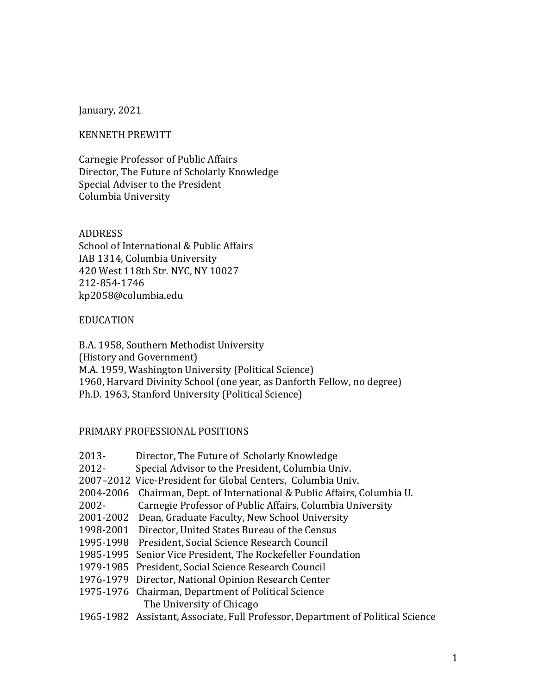### January, 2021

#### KENNETH PREWITT

Carnegie Professor of Public Affairs Director, The Future of Scholarly Knowledge Special Adviser to the President Columbia University

#### ADDRESS

School of International & Public Affairs IAB 1314, Columbia University 420 West 118th Str. NYC, NY 10027 212-854-1746 kp2058@columbia.edu

#### EDUCATION

B.A. 1958, Southern Methodist University (History and Government) M.A. 1959, Washington University (Political Science) 1960, Harvard Divinity School (one year, as Danforth Fellow, no degree) Ph.D. 1963, Stanford University (Political Science)

### PRIMARY PROFESSIONAL POSITIONS

- 2013- Director, The Future of Scholarly Knowledge
- 2012- Special Advisor to the President, Columbia Univ.
- 2007–2012 Vice-President for Global Centers, Columbia Univ.
- 2004-2006 Chairman, Dept. of International & Public Affairs, Columbia U.
- 2002- Carnegie Professor of Public Affairs, Columbia University
- 2001-2002 Dean, Graduate Faculty, New School University
- 1998-2001 Director, United States Bureau of the Census
- 1995-1998 President, Social Science Research Council
- 1985-1995 Senior Vice President, The Rockefeller Foundation
- 1979-1985 President, Social Science Research Council
- 1976-1979 Director, National Opinion Research Center
- 1975-1976 Chairman, Department of Political Science The University of Chicago
- 1965-1982 Assistant, Associate, Full Professor, Department of Political Science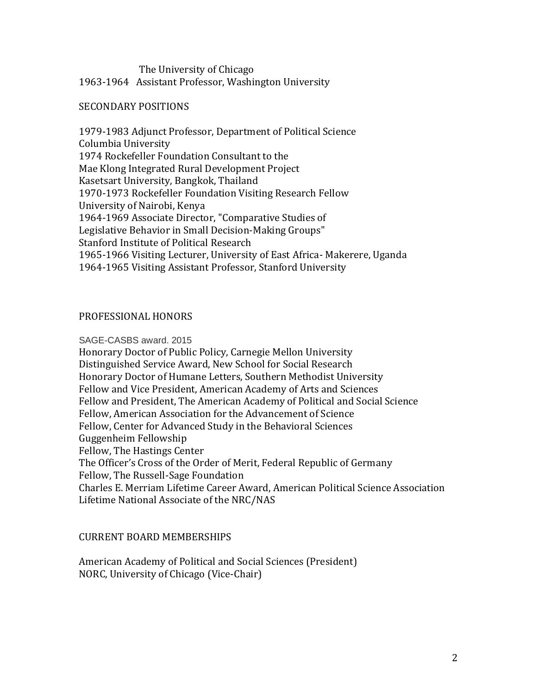### The University of Chicago 1963-1964 Assistant Professor, Washington University

### SECONDARY POSITIONS

1979-1983 Adjunct Professor, Department of Political Science Columbia University 1974 Rockefeller Foundation Consultant to the Mae Klong Integrated Rural Development Project Kasetsart University, Bangkok, Thailand 1970-1973 Rockefeller Foundation Visiting Research Fellow University of Nairobi, Kenya 1964-1969 Associate Director, "Comparative Studies of Legislative Behavior in Small Decision-Making Groups" Stanford Institute of Political Research 1965-1966 Visiting Lecturer, University of East Africa- Makerere, Uganda 1964-1965 Visiting Assistant Professor, Stanford University

### PROFESSIONAL HONORS

#### SAGE-CASBS award. 2015

Honorary Doctor of Public Policy, Carnegie Mellon University Distinguished Service Award, New School for Social Research Honorary Doctor of Humane Letters, Southern Methodist University Fellow and Vice President, American Academy of Arts and Sciences Fellow and President, The American Academy of Political and Social Science Fellow, American Association for the Advancement of Science Fellow, Center for Advanced Study in the Behavioral Sciences Guggenheim Fellowship Fellow, The Hastings Center The Officer's Cross of the Order of Merit, Federal Republic of Germany Fellow, The Russell-Sage Foundation Charles E. Merriam Lifetime Career Award, American Political Science Association Lifetime National Associate of the NRC/NAS

### CURRENT BOARD MEMBERSHIPS

American Academy of Political and Social Sciences (President) NORC, University of Chicago (Vice-Chair)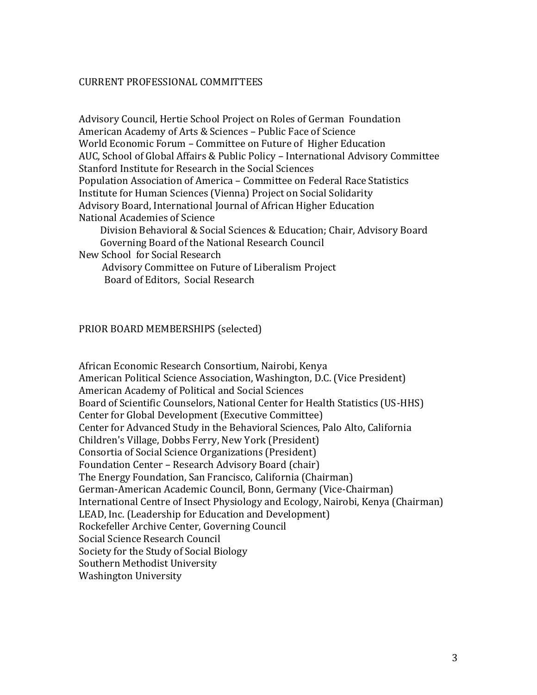### CURRENT PROFESSIONAL COMMITTEES

Advisory Council, Hertie School Project on Roles of German Foundation American Academy of Arts & Sciences – Public Face of Science World Economic Forum – Committee on Future of Higher Education AUC, School of Global Affairs & Public Policy – International Advisory Committee Stanford Institute for Research in the Social Sciences Population Association of America – Committee on Federal Race Statistics Institute for Human Sciences (Vienna) Project on Social Solidarity Advisory Board, International Journal of African Higher Education National Academies of Science Division Behavioral & Social Sciences & Education; Chair, Advisory Board

Governing Board of the National Research Council

New School for Social Research

 Advisory Committee on Future of Liberalism Project Board of Editors, Social Research

### PRIOR BOARD MEMBERSHIPS (selected)

African Economic Research Consortium, Nairobi, Kenya American Political Science Association, Washington, D.C. (Vice President) American Academy of Political and Social Sciences Board of Scientific Counselors, National Center for Health Statistics (US-HHS) Center for Global Development (Executive Committee) Center for Advanced Study in the Behavioral Sciences, Palo Alto, California Children's Village, Dobbs Ferry, New York (President) Consortia of Social Science Organizations (President) Foundation Center – Research Advisory Board (chair) The Energy Foundation, San Francisco, California (Chairman) German-American Academic Council, Bonn, Germany (Vice-Chairman) International Centre of Insect Physiology and Ecology, Nairobi, Kenya (Chairman) LEAD, Inc. (Leadership for Education and Development) Rockefeller Archive Center, Governing Council Social Science Research Council Society for the Study of Social Biology Southern Methodist University Washington University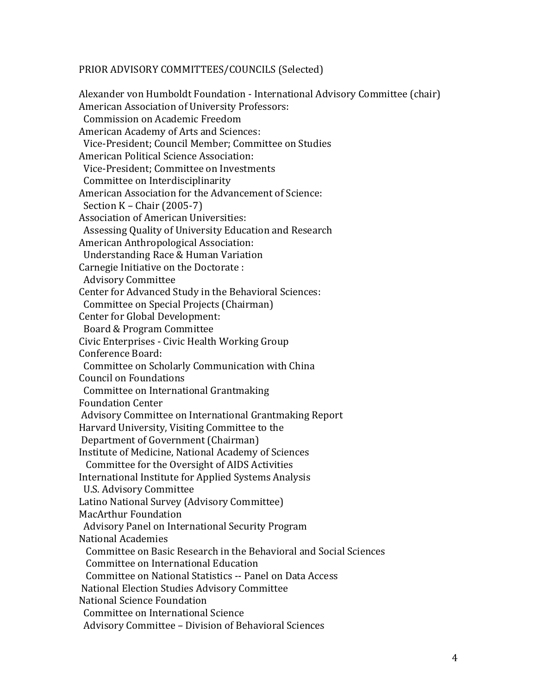### PRIOR ADVISORY COMMITTEES/COUNCILS (Selected)

Alexander von Humboldt Foundation - International Advisory Committee (chair) American Association of University Professors: Commission on Academic Freedom American Academy of Arts and Sciences: Vice-President; Council Member; Committee on Studies American Political Science Association: Vice-President; Committee on Investments Committee on Interdisciplinarity American Association for the Advancement of Science: Section K – Chair (2005-7) Association of American Universities: Assessing Quality of University Education and Research American Anthropological Association: Understanding Race & Human Variation Carnegie Initiative on the Doctorate : Advisory Committee Center for Advanced Study in the Behavioral Sciences: Committee on Special Projects (Chairman) Center for Global Development: Board & Program Committee Civic Enterprises - Civic Health Working Group Conference Board: Committee on Scholarly Communication with China Council on Foundations Committee on International Grantmaking Foundation Center Advisory Committee on International Grantmaking Report Harvard University, Visiting Committee to the Department of Government (Chairman) Institute of Medicine, National Academy of Sciences Committee for the Oversight of AIDS Activities International Institute for Applied Systems Analysis U.S. Advisory Committee Latino National Survey (Advisory Committee) MacArthur Foundation Advisory Panel on International Security Program National Academies Committee on Basic Research in the Behavioral and Social Sciences Committee on International Education Committee on National Statistics -- Panel on Data Access National Election Studies Advisory Committee National Science Foundation Committee on International Science Advisory Committee – Division of Behavioral Sciences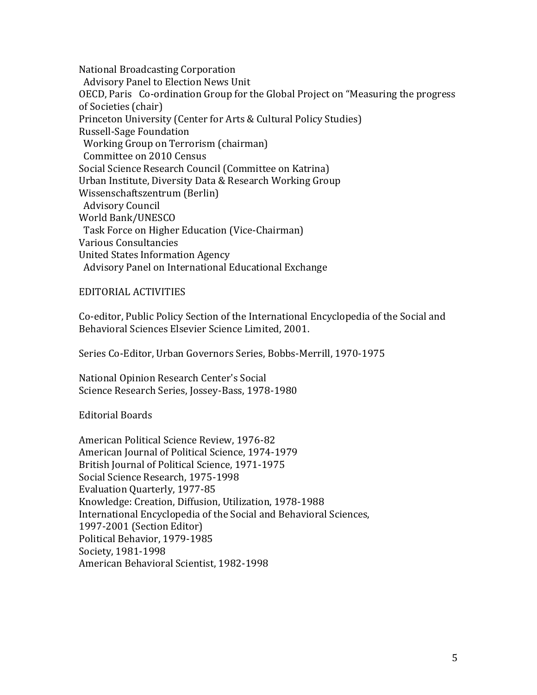National Broadcasting Corporation Advisory Panel to Election News Unit OECD, Paris Co-ordination Group for the Global Project on "Measuring the progress of Societies (chair) Princeton University (Center for Arts & Cultural Policy Studies) Russell-Sage Foundation Working Group on Terrorism (chairman) Committee on 2010 Census Social Science Research Council (Committee on Katrina) Urban Institute, Diversity Data & Research Working Group Wissenschaftszentrum (Berlin) Advisory Council World Bank/UNESCO Task Force on Higher Education (Vice-Chairman) Various Consultancies United States Information Agency Advisory Panel on International Educational Exchange

EDITORIAL ACTIVITIES

Co-editor, Public Policy Section of the International Encyclopedia of the Social and Behavioral Sciences Elsevier Science Limited, 2001.

Series Co-Editor, Urban Governors Series, Bobbs-Merrill, 1970-1975

National Opinion Research Center's Social Science Research Series, Jossey-Bass, 1978-1980

Editorial Boards

American Political Science Review, 1976-82 American Journal of Political Science, 1974-1979 British Journal of Political Science, 1971-1975 Social Science Research, 1975-1998 Evaluation Quarterly, 1977-85 Knowledge: Creation, Diffusion, Utilization, 1978-1988 International Encyclopedia of the Social and Behavioral Sciences, 1997-2001 (Section Editor) Political Behavior, 1979-1985 Society, 1981-1998 American Behavioral Scientist, 1982-1998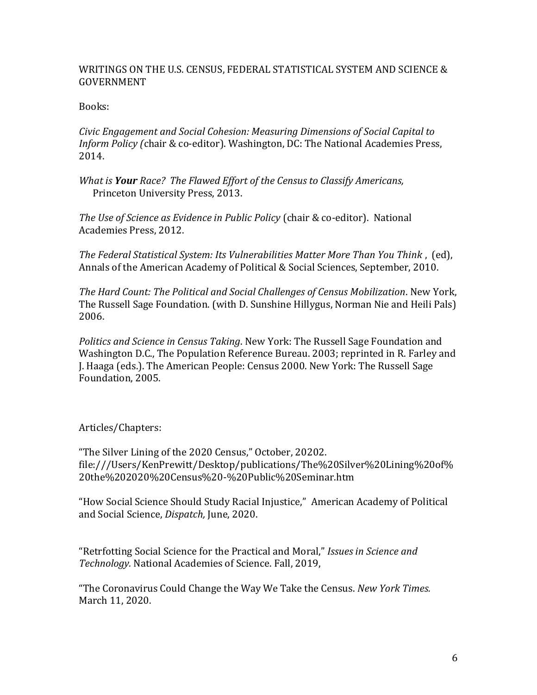## WRITINGS ON THE U.S. CENSUS, FEDERAL STATISTICAL SYSTEM AND SCIENCE & GOVERNMENT

## Books:

*Civic Engagement and Social Cohesion: Measuring Dimensions of Social Capital to Inform Policy (*chair & co-editor). Washington, DC: The National Academies Press, 2014.

*What is Your Race? The Flawed Effort of the Census to Classify Americans,* Princeton University Press, 2013.

*The Use of Science as Evidence in Public Policy* (chair & co-editor). National Academies Press, 2012.

*The Federal Statistical System: Its Vulnerabilities Matter More Than You Think* , (ed), Annals of the American Academy of Political & Social Sciences, September, 2010.

*The Hard Count: The Political and Social Challenges of Census Mobilization*. New York, The Russell Sage Foundation. (with D. Sunshine Hillygus, Norman Nie and Heili Pals) 2006.

*Politics and Science in Census Taking*. New York: The Russell Sage Foundation and Washington D.C., The Population Reference Bureau. 2003; reprinted in R. Farley and J. Haaga (eds.). The American People: Census 2000. New York: The Russell Sage Foundation, 2005.

Articles/Chapters:

"The Silver Lining of the 2020 Census," October, 20202. file:///Users/KenPrewitt/Desktop/publications/The%20Silver%20Lining%20of% 20the%202020%20Census%20-%20Public%20Seminar.htm

"How Social Science Should Study Racial Injustice," American Academy of Political and Social Science, *Dispatch,* June, 2020.

"Retrfotting Social Science for the Practical and Moral," *Issues in Science and Technology.* National Academies of Science. Fall, 2019,

"The Coronavirus Could Change the Way We Take the Census. *New York Times.*  March 11, 2020.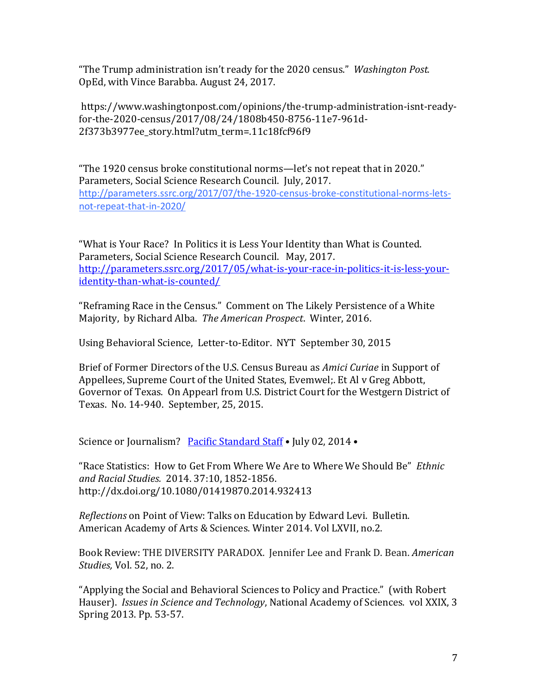"The Trump administration isn't ready for the 2020 census." *Washington Post.* OpEd, with Vince Barabba. August 24, 2017.

https://www.washingtonpost.com/opinions/the-trump-administration-isnt-readyfor-the-2020-census/2017/08/24/1808b450-8756-11e7-961d-2f373b3977ee story.html?utm term=.11c18fcf96f9

"The 1920 census broke constitutional norms—let's not repeat that in 2020." Parameters, Social Science Research Council. July, 2017. http://parameters.ssrc.org/2017/07/the-1920-census-broke-constitutional-norms-letsnot-repeat-that-in-2020/

"What is Your Race? In Politics it is Less Your Identity than What is Counted. Parameters, Social Science Research Council. May, 2017. http://parameters.ssrc.org/2017/05/what-is-your-race-in-politics-it-is-less-youridentity-than-what-is-counted/

"Reframing Race in the Census." Comment on The Likely Persistence of a White Majority, by Richard Alba. *The American Prospect*. Winter, 2016.

Using Behavioral Science, Letter-to-Editor. NYT September 30, 2015

Brief of Former Directors of the U.S. Census Bureau as *Amici Curiae* in Support of Appellees, Supreme Court of the United States, Evemwel;. Et Al v Greg Abbott, Governor of Texas. On Appearl from U.S. District Court for the Westgern District of Texas. No. 14-940. September, 25, 2015.

Science or Journalism? [Pacific Standard Staff](http://www.psmag.com/author/staff/) • July 02, 2014 •

"Race Statistics: How to Get From Where We Are to Where We Should Be" *Ethnic and Racial Studies.* 2014. 37:10, 1852-1856. http://dx.doi.org/10.1080/01419870.2014.932413

*Reflections* on Point of View: Talks on Education by Edward Levi. Bulletin. American Academy of Arts & Sciences. Winter 2014. Vol LXVII, no.2.

Book Review: THE DIVERSITY PARADOX. Jennifer Lee and Frank D. Bean. *American Studies,* Vol. 52, no. 2.

"Applying the Social and Behavioral Sciences to Policy and Practice." (with Robert Hauser). *Issues in Science and Technology*, National Academy of Sciences. vol XXIX, 3 Spring 2013. Pp. 53-57.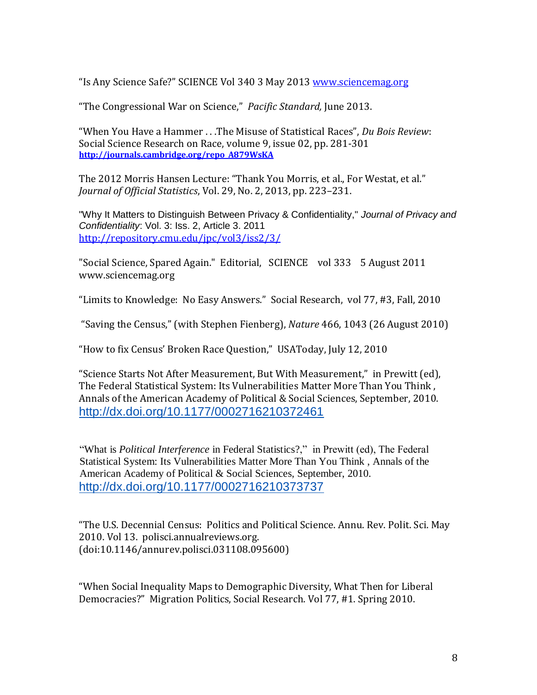"Is Any Science Safe?" SCIENCE Vol 340 3 May 2013 [www.sciencemag.org](http://www.sciencemag.org/)

"The Congressional War on Science," *Pacific Standard,* June 2013.

"When You Have a Hammer . . .The Misuse of Statistical Races", *Du Bois Review*: Social Science Research on Race, volume 9, issue 02, pp. 281-301 **[http://journals.cambridge.org/repo\\_A879WsKA](http://journals.cambridge.org/repo_A879WsKA)**

The 2012 Morris Hansen Lecture: "Thank You Morris, et al., For Westat, et al." *Journal of Official Statistics*, Vol. 29, No. 2, 2013, pp. 223–231.

"Why It Matters to Distinguish Between Privacy & Confidentiality," *Journal of Privacy and Confidentiality*: Vol. 3: Iss. 2, Article 3. 2011 <http://repository.cmu.edu/jpc/vol3/iss2/3/>

"Social Science, Spared Again." Editorial, SCIENCE vol 333 5 August 2011 www.sciencemag.org

"Limits to Knowledge: No Easy Answers." Social Research, vol 77, #3, Fall, 2010

"Saving the Census," (with Stephen Fienberg), *Nature* 466, 1043 (26 August 2010)

"How to fix Census' Broken Race Question," USAToday, July 12, 2010

"Science Starts Not After Measurement, But With Measurement," in Prewitt (ed), The Federal Statistical System: Its Vulnerabilities Matter More Than You Think , Annals of the American Academy of Political & Social Sciences, September, 2010. http://dx.doi.org/10.1177/0002716210372461

"What is *Political Interference* in Federal Statistics?," in Prewitt (ed), The Federal Statistical System: Its Vulnerabilities Matter More Than You Think , Annals of the American Academy of Political & Social Sciences, September, 2010. http://dx.doi.org/10.1177/0002716210373737

"The U.S. Decennial Census: Politics and Political Science. Annu. Rev. Polit. Sci. May 2010. Vol 13. polisci.annualreviews.org. (doi:10.1146/annurev.polisci.031108.095600)

"When Social Inequality Maps to Demographic Diversity, What Then for Liberal Democracies?" Migration Politics, Social Research. Vol 77, #1. Spring 2010.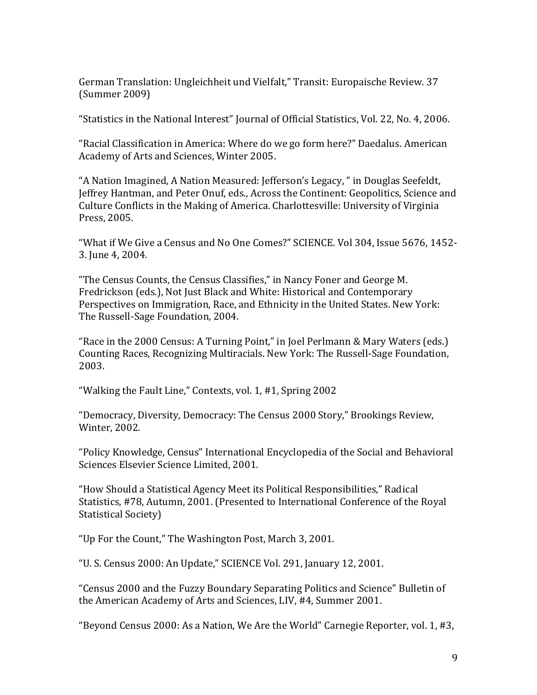German Translation: Ungleichheit und Vielfalt," Transit: Europaische Review. 37 (Summer 2009)

"Statistics in the National Interest" Journal of Official Statistics, Vol. 22, No. 4, 2006.

"Racial Classification in America: Where do we go form here?" Daedalus. American Academy of Arts and Sciences, Winter 2005.

"A Nation Imagined, A Nation Measured: Jefferson's Legacy, " in Douglas Seefeldt, Jeffrey Hantman, and Peter Onuf, eds., Across the Continent: Geopolitics, Science and Culture Conflicts in the Making of America. Charlottesville: University of Virginia Press, 2005.

"What if We Give a Census and No One Comes?" SCIENCE. Vol 304, Issue 5676, 1452- 3. June 4, 2004.

"The Census Counts, the Census Classifies," in Nancy Foner and George M. Fredrickson (eds.), Not Just Black and White: Historical and Contemporary Perspectives on Immigration, Race, and Ethnicity in the United States. New York: The Russell-Sage Foundation, 2004.

"Race in the 2000 Census: A Turning Point," in Joel Perlmann & Mary Waters (eds.) Counting Races, Recognizing Multiracials. New York: The Russell-Sage Foundation, 2003.

"Walking the Fault Line," Contexts, vol. 1, #1, Spring 2002

"Democracy, Diversity, Democracy: The Census 2000 Story," Brookings Review, Winter, 2002.

"Policy Knowledge, Census" International Encyclopedia of the Social and Behavioral Sciences Elsevier Science Limited, 2001.

"How Should a Statistical Agency Meet its Political Responsibilities," Radical Statistics, #78, Autumn, 2001. (Presented to International Conference of the Royal Statistical Society)

"Up For the Count," The Washington Post, March 3, 2001.

"U. S. Census 2000: An Update," SCIENCE Vol. 291, January 12, 2001.

"Census 2000 and the Fuzzy Boundary Separating Politics and Science" Bulletin of the American Academy of Arts and Sciences, LIV, #4, Summer 2001.

"Beyond Census 2000: As a Nation, We Are the World" Carnegie Reporter, vol. 1, #3,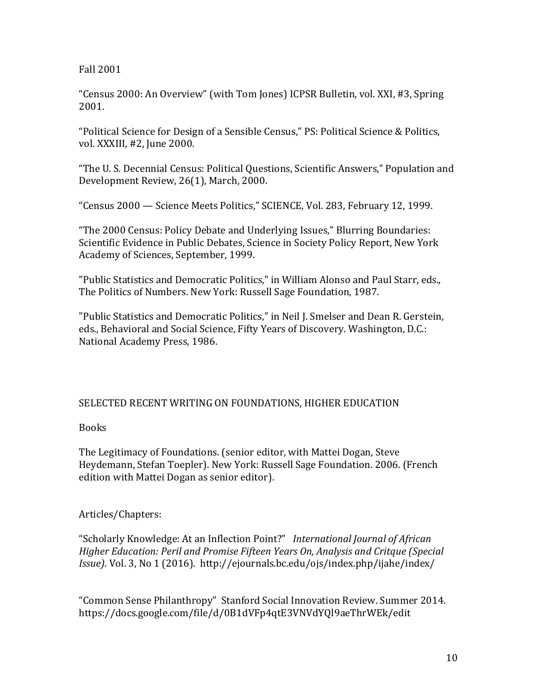### Fall 2001

"Census 2000: An Overview" (with Tom Jones) ICPSR Bulletin, vol. XXI, #3, Spring 2001.

"Political Science for Design of a Sensible Census," PS: Political Science & Politics, vol. XXXIII, #2, June 2000.

"The U. S. Decennial Census: Political Questions, Scientific Answers," Population and Development Review, 26(1), March, 2000.

"Census 2000 — Science Meets Politics," SCIENCE, Vol. 283, February 12, 1999.

"The 2000 Census: Policy Debate and Underlying Issues," Blurring Boundaries: Scientific Evidence in Public Debates, Science in Society Policy Report, New York Academy of Sciences, September, 1999.

"Public Statistics and Democratic Politics," in William Alonso and Paul Starr, eds., The Politics of Numbers. New York: Russell Sage Foundation, 1987.

"Public Statistics and Democratic Politics," in Neil J. Smelser and Dean R. Gerstein, eds., Behavioral and Social Science, Fifty Years of Discovery. Washington, D.C.: National Academy Press, 1986.

## SELECTED RECENT WRITING ON FOUNDATIONS, HIGHER EDUCATION

## Books

The Legitimacy of Foundations. (senior editor, with Mattei Dogan, Steve Heydemann, Stefan Toepler). New York: Russell Sage Foundation. 2006. (French edition with Mattei Dogan as senior editor).

## Articles/Chapters:

"Scholarly Knowledge: At an Inflection Point?" *International Journal of African Higher Education: Peril and Promise Fifteen Years On, Analysis and Critque (Special Issue)*. Vol. 3, No 1 (2016). http://ejournals.bc.edu/ojs/index.php/ijahe/index/

"Common Sense Philanthropy" Stanford Social Innovation Review. Summer 2014. https://docs.google.com/file/d/0B1dVFp4qtE3VNVdYQl9aeThrWEk/edit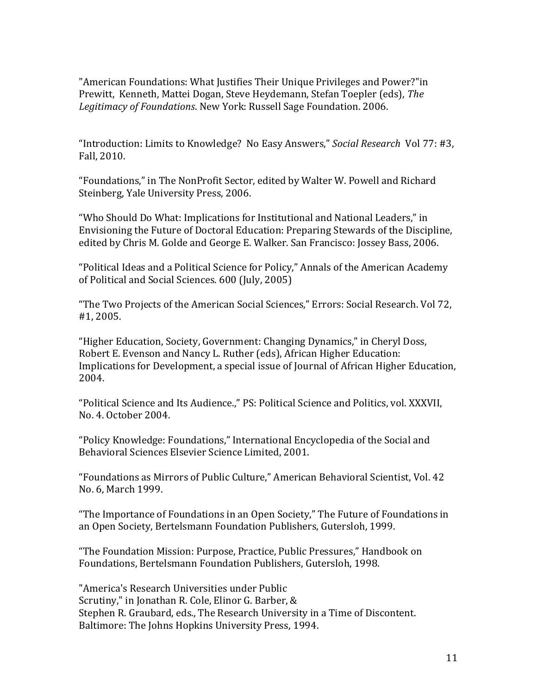"American Foundations: What Justifies Their Unique Privileges and Power?"in Prewitt, Kenneth, Mattei Dogan, Steve Heydemann, Stefan Toepler (eds), *The Legitimacy of Foundations*. New York: Russell Sage Foundation. 2006.

"Introduction: Limits to Knowledge? No Easy Answers," *Social Research* Vol 77: #3, Fall, 2010.

"Foundations," in The NonProfit Sector, edited by Walter W. Powell and Richard Steinberg, Yale University Press, 2006.

"Who Should Do What: Implications for Institutional and National Leaders," in Envisioning the Future of Doctoral Education: Preparing Stewards of the Discipline, edited by Chris M. Golde and George E. Walker. San Francisco: Jossey Bass, 2006.

"Political Ideas and a Political Science for Policy," Annals of the American Academy of Political and Social Sciences. 600 (July, 2005)

"The Two Projects of the American Social Sciences," Errors: Social Research. Vol 72, #1, 2005.

"Higher Education, Society, Government: Changing Dynamics," in Cheryl Doss, Robert E. Evenson and Nancy L. Ruther (eds), African Higher Education: Implications for Development, a special issue of Journal of African Higher Education, 2004.

"Political Science and Its Audience.," PS: Political Science and Politics, vol. XXXVII, No. 4. October 2004.

"Policy Knowledge: Foundations," International Encyclopedia of the Social and Behavioral Sciences Elsevier Science Limited, 2001.

"Foundations as Mirrors of Public Culture," American Behavioral Scientist, Vol. 42 No. 6, March 1999.

"The Importance of Foundations in an Open Society," The Future of Foundations in an Open Society, Bertelsmann Foundation Publishers, Gutersloh, 1999.

"The Foundation Mission: Purpose, Practice, Public Pressures," Handbook on Foundations, Bertelsmann Foundation Publishers, Gutersloh, 1998.

"America's Research Universities under Public Scrutiny," in Jonathan R. Cole, Elinor G. Barber, & Stephen R. Graubard, eds., The Research University in a Time of Discontent. Baltimore: The Johns Hopkins University Press, 1994.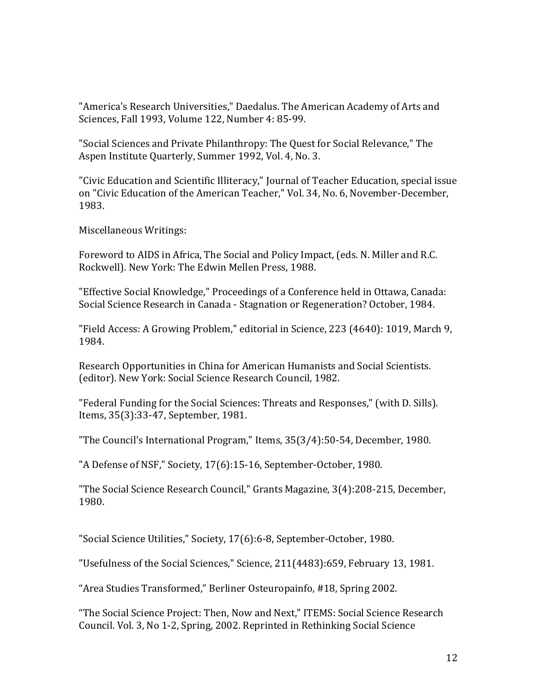"America's Research Universities," Daedalus. The American Academy of Arts and Sciences, Fall 1993, Volume 122, Number 4: 85-99.

"Social Sciences and Private Philanthropy: The Quest for Social Relevance," The Aspen Institute Quarterly, Summer 1992, Vol. 4, No. 3.

"Civic Education and Scientific Illiteracy," Journal of Teacher Education, special issue on "Civic Education of the American Teacher," Vol. 34, No. 6, November-December, 1983.

Miscellaneous Writings:

Foreword to AIDS in Africa, The Social and Policy Impact, (eds. N. Miller and R.C. Rockwell). New York: The Edwin Mellen Press, 1988.

"Effective Social Knowledge," Proceedings of a Conference held in Ottawa, Canada: Social Science Research in Canada - Stagnation or Regeneration? October, 1984.

"Field Access: A Growing Problem," editorial in Science, 223 (4640): 1019, March 9, 1984.

Research Opportunities in China for American Humanists and Social Scientists. (editor). New York: Social Science Research Council, 1982.

"Federal Funding for the Social Sciences: Threats and Responses," (with D. Sills). Items, 35(3):33-47, September, 1981.

"The Council's International Program," Items, 35(3/4):50-54, December, 1980.

"A Defense of NSF," Society, 17(6):15-16, September-October, 1980.

"The Social Science Research Council," Grants Magazine, 3(4):208-215, December, 1980.

"Social Science Utilities," Society, 17(6):6-8, September-October, 1980.

"Usefulness of the Social Sciences," Science, 211(4483):659, February 13, 1981.

"Area Studies Transformed," Berliner Osteuropainfo, #18, Spring 2002.

"The Social Science Project: Then, Now and Next," ITEMS: Social Science Research Council. Vol. 3, No 1-2, Spring, 2002. Reprinted in Rethinking Social Science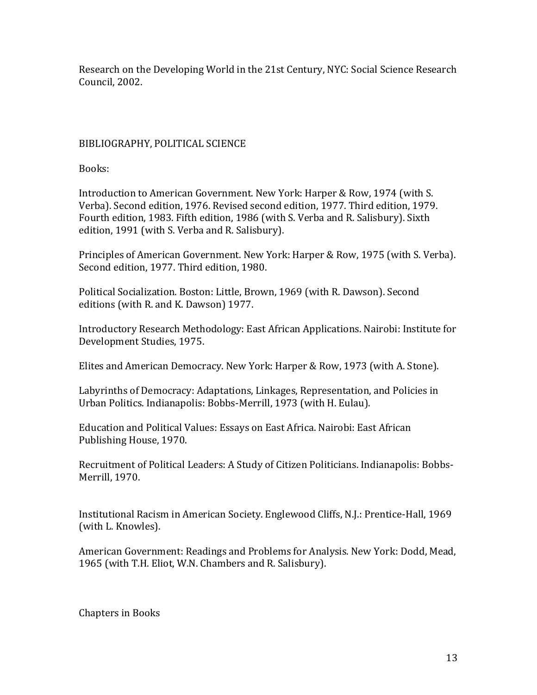Research on the Developing World in the 21st Century, NYC: Social Science Research Council, 2002.

# BIBLIOGRAPHY, POLITICAL SCIENCE

Books:

Introduction to American Government. New York: Harper & Row, 1974 (with S. Verba). Second edition, 1976. Revised second edition, 1977. Third edition, 1979. Fourth edition, 1983. Fifth edition, 1986 (with S. Verba and R. Salisbury). Sixth edition, 1991 (with S. Verba and R. Salisbury).

Principles of American Government. New York: Harper & Row, 1975 (with S. Verba). Second edition, 1977. Third edition, 1980.

Political Socialization. Boston: Little, Brown, 1969 (with R. Dawson). Second editions (with R. and K. Dawson) 1977.

Introductory Research Methodology: East African Applications. Nairobi: Institute for Development Studies, 1975.

Elites and American Democracy. New York: Harper & Row, 1973 (with A. Stone).

Labyrinths of Democracy: Adaptations, Linkages, Representation, and Policies in Urban Politics. Indianapolis: Bobbs-Merrill, 1973 (with H. Eulau).

Education and Political Values: Essays on East Africa. Nairobi: East African Publishing House, 1970.

Recruitment of Political Leaders: A Study of Citizen Politicians. Indianapolis: Bobbs-Merrill, 1970.

Institutional Racism in American Society. Englewood Cliffs, N.J.: Prentice-Hall, 1969 (with L. Knowles).

American Government: Readings and Problems for Analysis. New York: Dodd, Mead, 1965 (with T.H. Eliot, W.N. Chambers and R. Salisbury).

Chapters in Books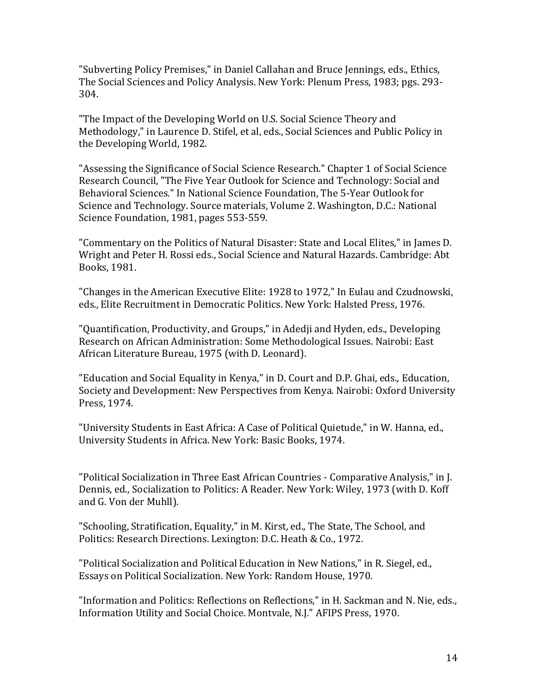"Subverting Policy Premises," in Daniel Callahan and Bruce Jennings, eds., Ethics, The Social Sciences and Policy Analysis. New York: Plenum Press, 1983; pgs. 293- 304.

"The Impact of the Developing World on U.S. Social Science Theory and Methodology," in Laurence D. Stifel, et al, eds., Social Sciences and Public Policy in the Developing World, 1982.

"Assessing the Significance of Social Science Research." Chapter 1 of Social Science Research Council, "The Five Year Outlook for Science and Technology: Social and Behavioral Sciences." In National Science Foundation, The 5-Year Outlook for Science and Technology. Source materials, Volume 2. Washington, D.C.: National Science Foundation, 1981, pages 553-559.

"Commentary on the Politics of Natural Disaster: State and Local Elites," in James D. Wright and Peter H. Rossi eds., Social Science and Natural Hazards. Cambridge: Abt Books, 1981.

"Changes in the American Executive Elite: 1928 to 1972," In Eulau and Czudnowski, eds., Elite Recruitment in Democratic Politics. New York: Halsted Press, 1976.

"Quantification, Productivity, and Groups," in Adedji and Hyden, eds., Developing Research on African Administration: Some Methodological Issues. Nairobi: East African Literature Bureau, 1975 (with D. Leonard).

"Education and Social Equality in Kenya," in D. Court and D.P. Ghai, eds., Education, Society and Development: New Perspectives from Kenya. Nairobi: Oxford University Press, 1974.

"University Students in East Africa: A Case of Political Quietude," in W. Hanna, ed., University Students in Africa. New York: Basic Books, 1974.

"Political Socialization in Three East African Countries - Comparative Analysis," in J. Dennis, ed., Socialization to Politics: A Reader. New York: Wiley, 1973 (with D. Koff and G. Von der Muhll).

"Schooling, Stratification, Equality," in M. Kirst, ed., The State, The School, and Politics: Research Directions. Lexington: D.C. Heath & Co., 1972.

"Political Socialization and Political Education in New Nations," in R. Siegel, ed., Essays on Political Socialization. New York: Random House, 1970.

"Information and Politics: Reflections on Reflections," in H. Sackman and N. Nie, eds., Information Utility and Social Choice. Montvale, N.J." AFIPS Press, 1970.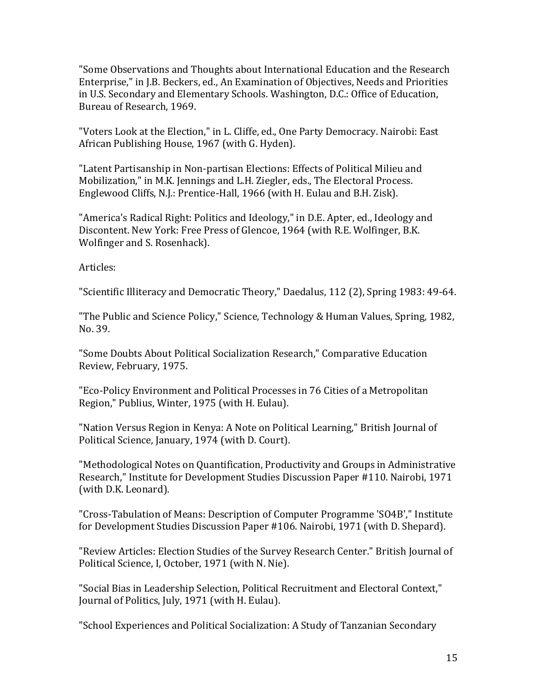"Some Observations and Thoughts about International Education and the Research Enterprise," in J.B. Beckers, ed., An Examination of Objectives, Needs and Priorities in U.S. Secondary and Elementary Schools. Washington, D.C.: Office of Education, Bureau of Research, 1969.

"Voters Look at the Election," in L. Cliffe, ed., One Party Democracy. Nairobi: East African Publishing House, 1967 (with G. Hyden).

"Latent Partisanship in Non-partisan Elections: Effects of Political Milieu and Mobilization," in M.K. Jennings and L.H. Ziegler, eds., The Electoral Process. Englewood Cliffs, N.J.: Prentice-Hall, 1966 (with H. Eulau and B.H. Zisk).

"America's Radical Right: Politics and Ideology," in D.E. Apter, ed., Ideology and Discontent. New York: Free Press of Glencoe, 1964 (with R.E. Wolfinger, B.K. Wolfinger and S. Rosenhack).

Articles:

"Scientific Illiteracy and Democratic Theory," Daedalus, 112 (2), Spring 1983: 49-64.

"The Public and Science Policy," Science, Technology & Human Values, Spring, 1982, No. 39.

"Some Doubts About Political Socialization Research," Comparative Education Review, February, 1975.

"Eco-Policy Environment and Political Processes in 76 Cities of a Metropolitan Region," Publius, Winter, 1975 (with H. Eulau).

"Nation Versus Region in Kenya: A Note on Political Learning," British Journal of Political Science, January, 1974 (with D. Court).

"Methodological Notes on Quantification, Productivity and Groups in Administrative Research," Institute for Development Studies Discussion Paper #110. Nairobi, 1971 (with D.K. Leonard).

"Cross-Tabulation of Means: Description of Computer Programme 'SO4B'," Institute for Development Studies Discussion Paper #106. Nairobi, 1971 (with D. Shepard).

"Review Articles: Election Studies of the Survey Research Center." British Journal of Political Science, I, October, 1971 (with N. Nie).

"Social Bias in Leadership Selection, Political Recruitment and Electoral Context," Journal of Politics, July, 1971 (with H. Eulau).

"School Experiences and Political Socialization: A Study of Tanzanian Secondary